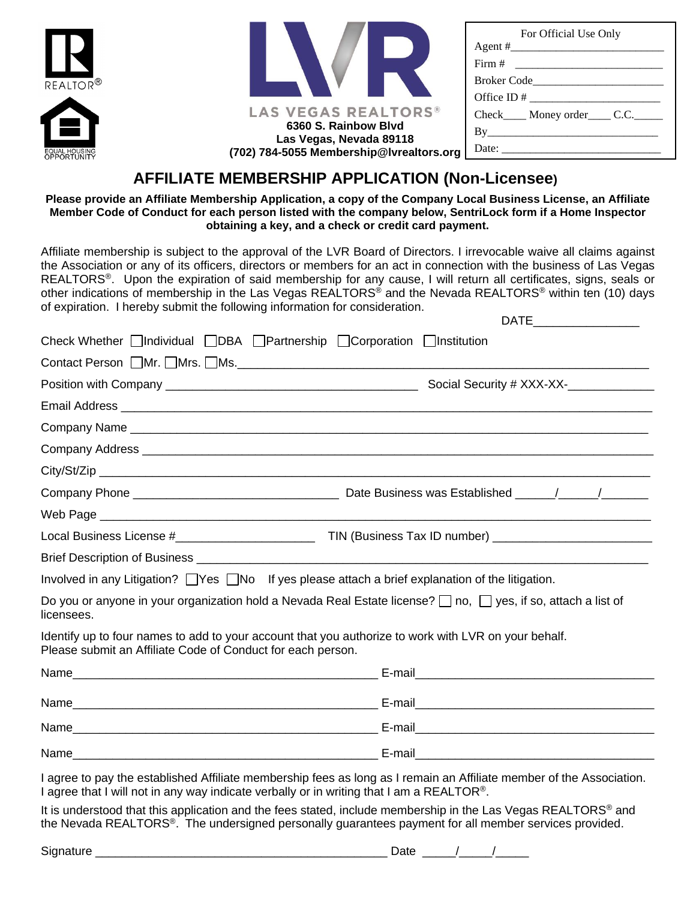| $\overline{ALTOR}$ <sup>®</sup><br>₳ | LAS VEGAS REALTORS®<br>6360 S. Rainbow Blvd                         | For Official Use Only<br>$Agent \#$<br>Broker Code and the Broker Code<br>Check_____ Money order_____ C.C._____<br>By |
|--------------------------------------|---------------------------------------------------------------------|-----------------------------------------------------------------------------------------------------------------------|
| AL HOUSING<br><b>PORTUNITY</b>       | Las Vegas, Nevada 89118<br>(702) 784-5055 Membership@Ivrealtors.org |                                                                                                                       |

# **AFFILIATE MEMBERSHIP APPLICATION (Non-Licensee)**

**RE** 

**Please provide an Affiliate Membership Application, a copy of the Company Local Business License, an Affiliate Member Code of Conduct for each person listed with the company below, SentriLock form if a Home Inspector obtaining a key, and a check or credit card payment.**

Affiliate membership is subject to the approval of the LVR Board of Directors. I irrevocable waive all claims against the Association or any of its officers, directors or members for an act in connection with the business of Las Vegas REALTORS®. Upon the expiration of said membership for any cause, I will return all certificates, signs, seals or other indications of membership in the Las Vegas REALTORS® and the Nevada REALTORS® within ten (10) days of expiration. I hereby submit the following information for consideration.

| Check Whether <i>Individual</i> <b>IDBA</b> Partnership <i>Corporation Institution</i>                                                                              |                                                                                                                         |
|---------------------------------------------------------------------------------------------------------------------------------------------------------------------|-------------------------------------------------------------------------------------------------------------------------|
|                                                                                                                                                                     |                                                                                                                         |
|                                                                                                                                                                     | Social Security # XXX-XX-                                                                                               |
|                                                                                                                                                                     |                                                                                                                         |
|                                                                                                                                                                     |                                                                                                                         |
|                                                                                                                                                                     |                                                                                                                         |
|                                                                                                                                                                     |                                                                                                                         |
|                                                                                                                                                                     |                                                                                                                         |
|                                                                                                                                                                     |                                                                                                                         |
|                                                                                                                                                                     |                                                                                                                         |
|                                                                                                                                                                     |                                                                                                                         |
| Involved in any Litigation? $\Box$ Yes $\Box$ No If yes please attach a brief explanation of the litigation.                                                        |                                                                                                                         |
| licensees.                                                                                                                                                          | Do you or anyone in your organization hold a Nevada Real Estate license? $\Box$ no, $\Box$ yes, if so, attach a list of |
| Identify up to four names to add to your account that you authorize to work with LVR on your behalf.<br>Please submit an Affiliate Code of Conduct for each person. |                                                                                                                         |
|                                                                                                                                                                     |                                                                                                                         |
|                                                                                                                                                                     |                                                                                                                         |
|                                                                                                                                                                     |                                                                                                                         |
|                                                                                                                                                                     |                                                                                                                         |
|                                                                                                                                                                     | I agree to pay the established Affiliate membership fees as long as I remain an Affiliate member of the Association.    |

I agree that I will not in any way indicate verbally or in writing that I am a REALTOR®.

It is understood that this application and the fees stated, include membership in the Las Vegas REALTORS<sup>®</sup> and the Nevada REALTORS®. The undersigned personally guarantees payment for all member services provided.

| <b>.</b> | -- |
|----------|----|
|          | -- |
| יוכ      |    |
|          |    |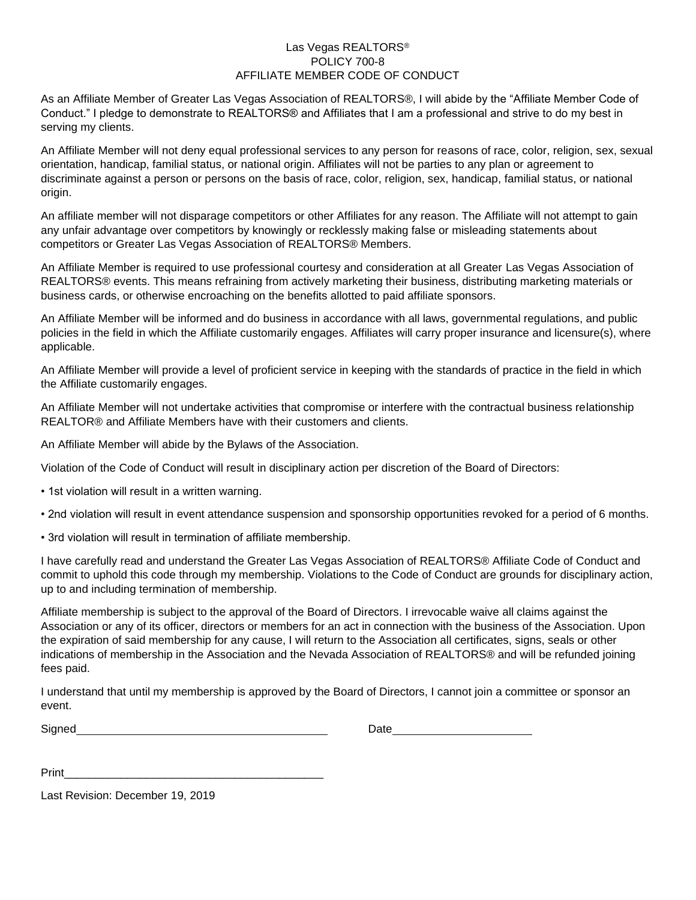### Las Vegas REALTORS® POLICY 700-8 AFFILIATE MEMBER CODE OF CONDUCT

As an Affiliate Member of Greater Las Vegas Association of REALTORS®, I will abide by the "Affiliate Member Code of Conduct." I pledge to demonstrate to REALTORS® and Affiliates that I am a professional and strive to do my best in serving my clients.

An Affiliate Member will not deny equal professional services to any person for reasons of race, color, religion, sex, sexual orientation, handicap, familial status, or national origin. Affiliates will not be parties to any plan or agreement to discriminate against a person or persons on the basis of race, color, religion, sex, handicap, familial status, or national origin.

An affiliate member will not disparage competitors or other Affiliates for any reason. The Affiliate will not attempt to gain any unfair advantage over competitors by knowingly or recklessly making false or misleading statements about competitors or Greater Las Vegas Association of REALTORS® Members.

An Affiliate Member is required to use professional courtesy and consideration at all Greater Las Vegas Association of REALTORS® events. This means refraining from actively marketing their business, distributing marketing materials or business cards, or otherwise encroaching on the benefits allotted to paid affiliate sponsors.

An Affiliate Member will be informed and do business in accordance with all laws, governmental regulations, and public policies in the field in which the Affiliate customarily engages. Affiliates will carry proper insurance and licensure(s), where applicable.

An Affiliate Member will provide a level of proficient service in keeping with the standards of practice in the field in which the Affiliate customarily engages.

An Affiliate Member will not undertake activities that compromise or interfere with the contractual business relationship REALTOR® and Affiliate Members have with their customers and clients.

An Affiliate Member will abide by the Bylaws of the Association.

Violation of the Code of Conduct will result in disciplinary action per discretion of the Board of Directors:

- 1st violation will result in a written warning.
- 2nd violation will result in event attendance suspension and sponsorship opportunities revoked for a period of 6 months.
- 3rd violation will result in termination of affiliate membership.

I have carefully read and understand the Greater Las Vegas Association of REALTORS® Affiliate Code of Conduct and commit to uphold this code through my membership. Violations to the Code of Conduct are grounds for disciplinary action, up to and including termination of membership.

Affiliate membership is subject to the approval of the Board of Directors. I irrevocable waive all claims against the Association or any of its officer, directors or members for an act in connection with the business of the Association. Upon the expiration of said membership for any cause, I will return to the Association all certificates, signs, seals or other indications of membership in the Association and the Nevada Association of REALTORS® and will be refunded joining fees paid.

I understand that until my membership is approved by the Board of Directors, I cannot join a committee or sponsor an event.

| Signed | Date |
|--------|------|
|        |      |

Last Revision: December 19, 2019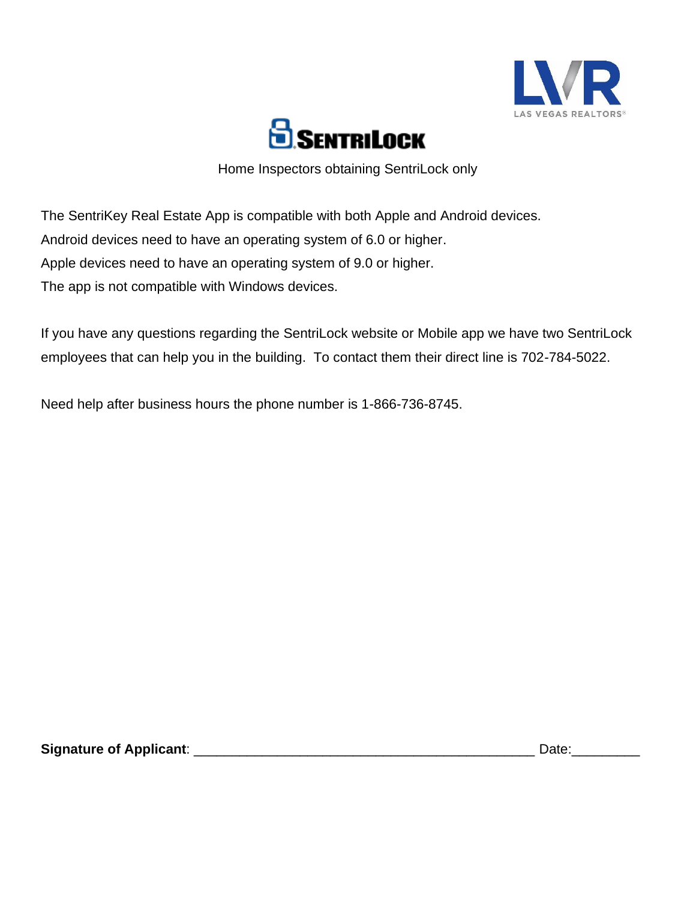



Home Inspectors obtaining SentriLock only

The SentriKey Real Estate App is compatible with both Apple and Android devices. Android devices need to have an operating system of 6.0 or higher. Apple devices need to have an operating system of 9.0 or higher. The app is not compatible with Windows devices.

If you have any questions regarding the SentriLock website or Mobile app we have two SentriLock employees that can help you in the building. To contact them their direct line is 702-784-5022.

Need help after business hours the phone number is 1-866-736-8745.

**Signature of Applicant**: \_\_\_\_\_\_\_\_\_\_\_\_\_\_\_\_\_\_\_\_\_\_\_\_\_\_\_\_\_\_\_\_\_\_\_\_\_\_\_\_\_\_\_\_\_ Date:\_\_\_\_\_\_\_\_\_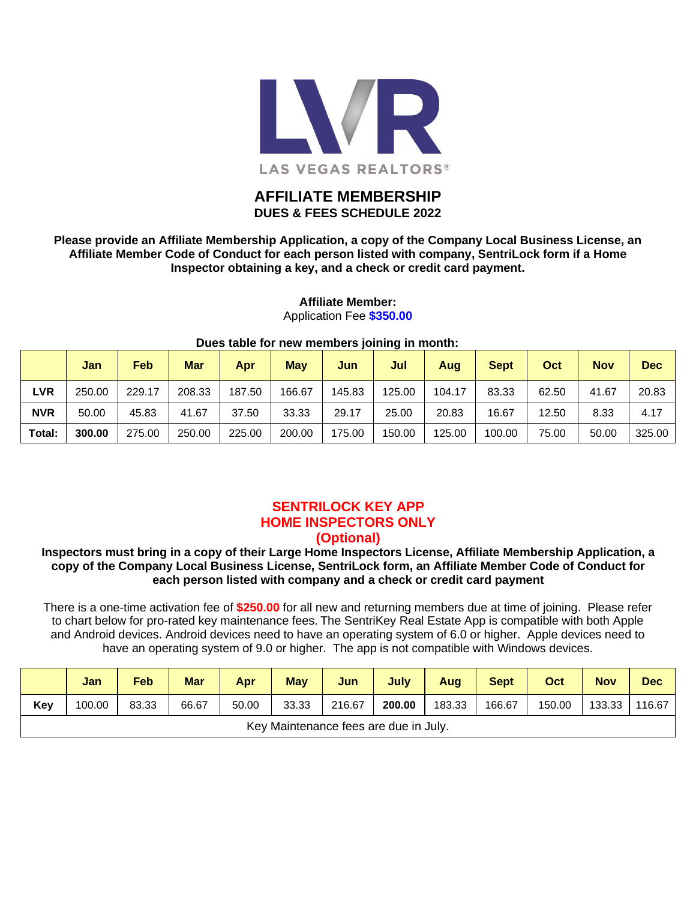

### **AFFILIATE MEMBERSHIP DUES & FEES SCHEDULE 2022**

**Please provide an Affiliate Membership Application, a copy of the Company Local Business License, an Affiliate Member Code of Conduct for each person listed with company, SentriLock form if a Home Inspector obtaining a key, and a check or credit card payment.**

| Dues table for new members joining in month: |        |            |        |        |            |        |        |        |             |       |            |            |
|----------------------------------------------|--------|------------|--------|--------|------------|--------|--------|--------|-------------|-------|------------|------------|
|                                              | Jan    | <b>Feb</b> | Mar    | Apr    | <b>May</b> | Jun    | Jul    | Aug    | <b>Sept</b> | Oct   | <b>Nov</b> | <b>Dec</b> |
| <b>LVR</b>                                   | 250.00 | 229.17     | 208.33 | 187.50 | 166.67     | 145.83 | 125.00 | 104.17 | 83.33       | 62.50 | 41.67      | 20.83      |
| <b>NVR</b>                                   | 50.00  | 45.83      | 41.67  | 37.50  | 33.33      | 29.17  | 25.00  | 20.83  | 16.67       | 12.50 | 8.33       | 4.17       |
| Total:                                       | 300.00 | 275.00     | 250.00 | 225.00 | 200.00     | 175.00 | 150.00 | 125.00 | 100.00      | 75.00 | 50.00      | 325.00     |

### **Affiliate Member:** Application Fee **\$350.00**

## **SENTRILOCK KEY APP HOME INSPECTORS ONLY**

### **(Optional)**

### **Inspectors must bring in a copy of their Large Home Inspectors License, Affiliate Membership Application, a copy of the Company Local Business License, SentriLock form, an Affiliate Member Code of Conduct for each person listed with company and a check or credit card payment**

There is a one-time activation fee of **\$250.00** for all new and returning members due at time of joining. Please refer to chart below for pro-rated key maintenance fees. The SentriKey Real Estate App is compatible with both Apple and Android devices. Android devices need to have an operating system of 6.0 or higher. Apple devices need to have an operating system of 9.0 or higher. The app is not compatible with Windows devices.

|                                       | Jan    | <b>Feb</b> | <b>Mar</b> | Apr   | <b>May</b> | Jun    | July   | Aug    | <b>Sept</b> | Oct    | <b>Nov</b> | <b>Dec</b> |
|---------------------------------------|--------|------------|------------|-------|------------|--------|--------|--------|-------------|--------|------------|------------|
| Key                                   | 100.00 | 83.33      | 66.67      | 50.00 | 33.33      | 216.67 | 200.00 | 183.33 | 166.67      | 150.00 | 133.33     | 116.67     |
| Key Maintenance fees are due in July. |        |            |            |       |            |        |        |        |             |        |            |            |